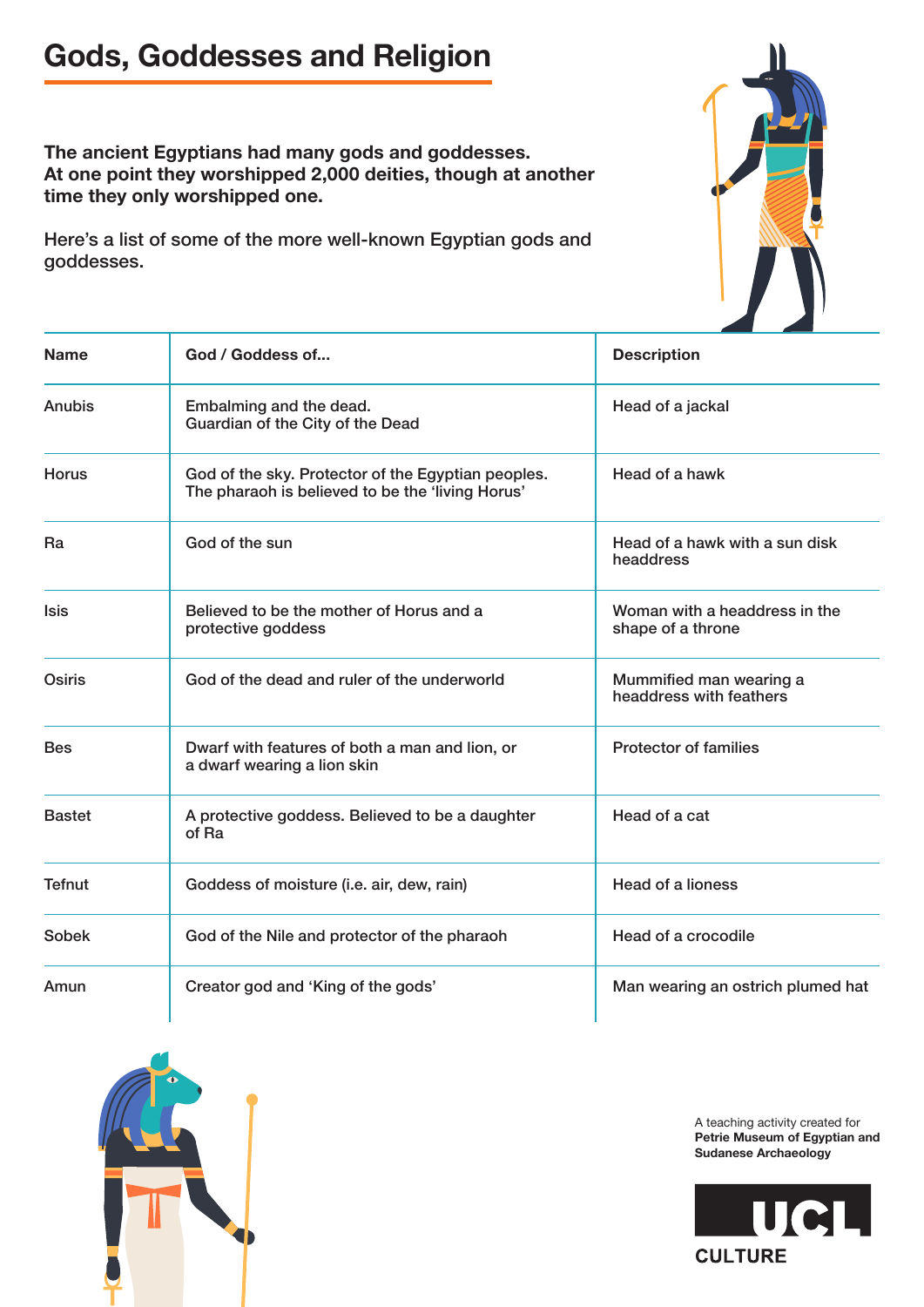## **Gods, Goddesses and Religion**

**The ancient Egyptians had many gods and goddesses. At one point they worshipped 2,000 deities, though at another time they only worshipped one.**

Here's a list of some of the more well-known Egyptian gods and goddesses.



| <b>Name</b>   | God / Goddess of                                                                                       | <b>Description</b>                                 |
|---------------|--------------------------------------------------------------------------------------------------------|----------------------------------------------------|
| Anubis        | Embalming and the dead.<br>Guardian of the City of the Dead                                            | Head of a jackal                                   |
| Horus         | God of the sky. Protector of the Egyptian peoples.<br>The pharaoh is believed to be the 'living Horus' | Head of a hawk                                     |
| Ra            | God of the sun                                                                                         | Head of a hawk with a sun disk<br>headdress        |
| <b>Isis</b>   | Believed to be the mother of Horus and a<br>protective goddess                                         | Woman with a headdress in the<br>shape of a throne |
| Osiris        | God of the dead and ruler of the underworld                                                            | Mummified man wearing a<br>headdress with feathers |
| <b>Bes</b>    | Dwarf with features of both a man and lion, or<br>a dwarf wearing a lion skin                          | <b>Protector of families</b>                       |
| <b>Bastet</b> | A protective goddess. Believed to be a daughter<br>of Ra                                               | Head of a cat                                      |
| <b>Tefnut</b> | Goddess of moisture (i.e. air, dew, rain)                                                              | Head of a lioness                                  |
| <b>Sobek</b>  | God of the Nile and protector of the pharaoh                                                           | Head of a crocodile                                |
| Amun          | Creator god and 'King of the gods'                                                                     | Man wearing an ostrich plumed hat                  |



A teaching activity created for **Petrie Museum of Egyptian and Sudanese Archaeology**